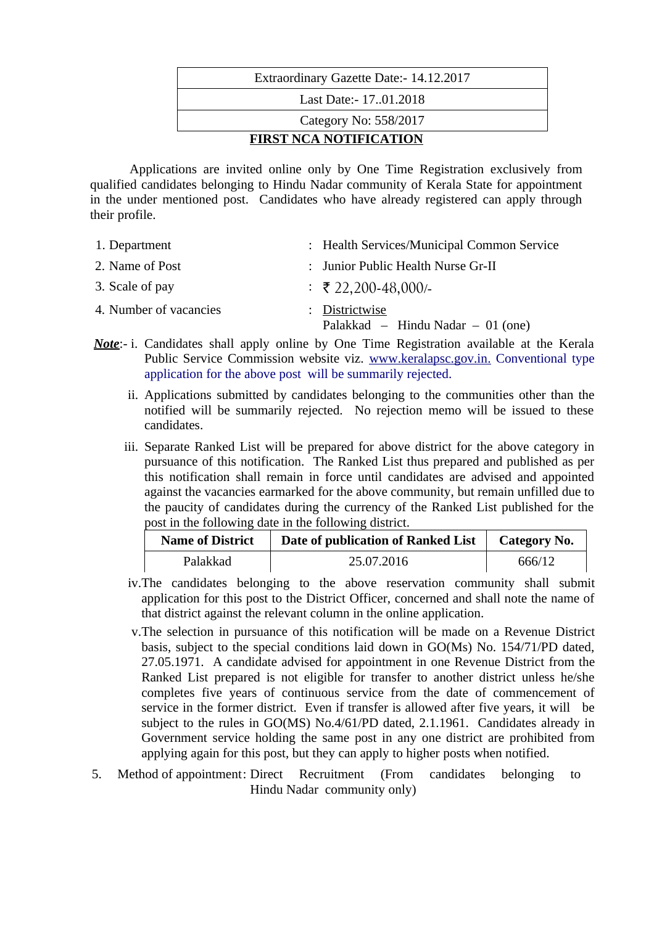| Extraordinary Gazette Date: - 14.12.2017 |  |  |
|------------------------------------------|--|--|
| Last Date: - 1701.2018                   |  |  |
| Category No: 558/2017                    |  |  |
| <b>FIRST NCA NOTIFICATION</b>            |  |  |

Applications are invited online only by One Time Registration exclusively from qualified candidates belonging to Hindu Nadar community of Kerala State for appointment in the under mentioned post. Candidates who have already registered can apply through their profile.

| 1. Department          | : Health Services/Municipal Common Service          |  |  |
|------------------------|-----------------------------------------------------|--|--|
| 2. Name of Post        | : Junior Public Health Nurse Gr-II                  |  |  |
| 3. Scale of pay        | $\div$ ₹ 22,200-48,000/-                            |  |  |
| 4. Number of vacancies | : Districtwise<br>Palakkad – Hindu Nadar – 01 (one) |  |  |

- *Note*:- i. Candidates shall apply online by One Time Registration available at the Kerala Public Service Commission website viz. [www.keralapsc.gov.in.](http://www.keralapsc.gov.in/) Conventional type application for the above post will be summarily rejected.
	- ii. Applications submitted by candidates belonging to the communities other than the notified will be summarily rejected. No rejection memo will be issued to these candidates.
	- iii. Separate Ranked List will be prepared for above district for the above category in pursuance of this notification. The Ranked List thus prepared and published as per this notification shall remain in force until candidates are advised and appointed against the vacancies earmarked for the above community, but remain unfilled due to the paucity of candidates during the currency of the Ranked List published for the post in the following date in the following district.

| <b>Name of District</b> | Date of publication of Ranked List | Category No. |
|-------------------------|------------------------------------|--------------|
| Palakkad                | 25.07.2016                         | 666/12       |

- iv.The candidates belonging to the above reservation community shall submit application for this post to the District Officer, concerned and shall note the name of that district against the relevant column in the online application.
- v.The selection in pursuance of this notification will be made on a Revenue District basis, subject to the special conditions laid down in GO(Ms) No. 154/71/PD dated, 27.05.1971. A candidate advised for appointment in one Revenue District from the Ranked List prepared is not eligible for transfer to another district unless he/she completes five years of continuous service from the date of commencement of service in the former district. Even if transfer is allowed after five years, it will be subject to the rules in GO(MS) No.4/61/PD dated, 2.1.1961. Candidates already in Government service holding the same post in any one district are prohibited from applying again for this post, but they can apply to higher posts when notified.
- 5. Method of appointment: Direct Recruitment (From candidates belonging to Hindu Nadar community only)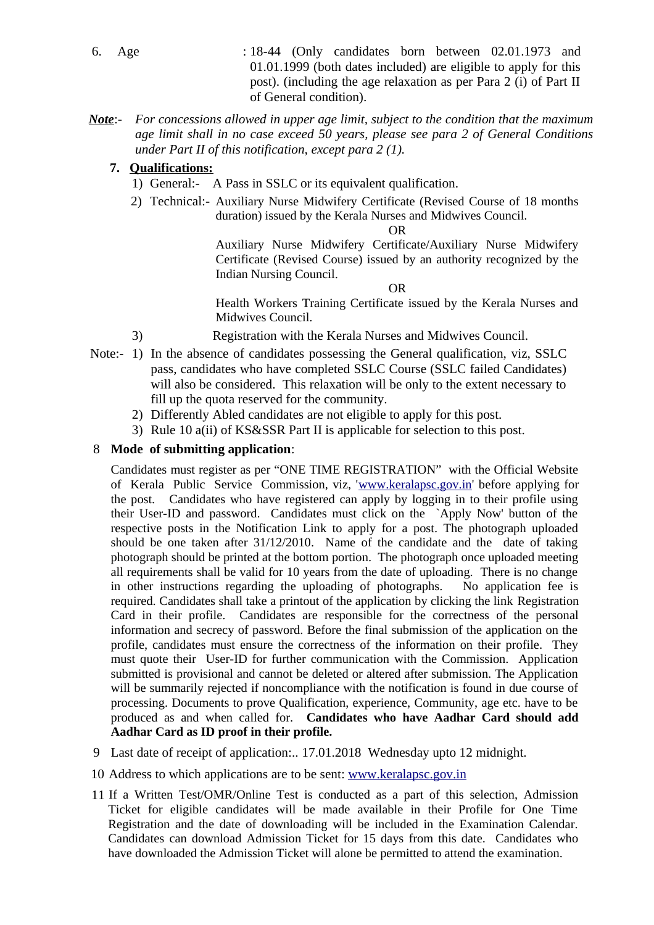- 6. Age : 18-44 (Only candidates born between 02.01.1973 and 01.01.1999 (both dates included) are eligible to apply for this post). (including the age relaxation as per Para 2 (i) of Part II of General condition).
- *Note*:- *For concessions allowed in upper age limit, subject to the condition that the maximum age limit shall in no case exceed 50 years, please see para 2 of General Conditions under Part II of this notification, except para 2 (1).*

## **7. Qualifications:**

- 1) General:- A Pass in SSLC or its equivalent qualification.
- 2) Technical:- Auxiliary Nurse Midwifery Certificate (Revised Course of 18 months duration) issued by the Kerala Nurses and Midwives Council.

OR

Auxiliary Nurse Midwifery Certificate/Auxiliary Nurse Midwifery Certificate (Revised Course) issued by an authority recognized by the Indian Nursing Council.

OR

Health Workers Training Certificate issued by the Kerala Nurses and Midwives Council.

- 3) Registration with the Kerala Nurses and Midwives Council.
- Note:- 1) In the absence of candidates possessing the General qualification, viz, SSLC pass, candidates who have completed SSLC Course (SSLC failed Candidates) will also be considered. This relaxation will be only to the extent necessary to fill up the quota reserved for the community.
	- 2) Differently Abled candidates are not eligible to apply for this post.
	- 3) Rule 10 a(ii) of KS&SSR Part II is applicable for selection to this post.

## 8 **Mode of submitting application**:

Candidates must register as per "ONE TIME REGISTRATION" with the Official Website of Kerala Public Service Commission, viz, ['www.keralapsc.gov.in'](http://www.keralapsc.gov.in/) before applying for the post. Candidates who have registered can apply by logging in to their profile using their User-ID and password. Candidates must click on the `Apply Now' button of the respective posts in the Notification Link to apply for a post. The photograph uploaded should be one taken after 31/12/2010. Name of the candidate and the date of taking photograph should be printed at the bottom portion. The photograph once uploaded meeting all requirements shall be valid for 10 years from the date of uploading. There is no change in other instructions regarding the uploading of photographs. No application fee is required. Candidates shall take a printout of the application by clicking the link Registration Card in their profile. Candidates are responsible for the correctness of the personal information and secrecy of password. Before the final submission of the application on the profile, candidates must ensure the correctness of the information on their profile. They must quote their User-ID for further communication with the Commission. Application submitted is provisional and cannot be deleted or altered after submission. The Application will be summarily rejected if noncompliance with the notification is found in due course of processing. Documents to prove Qualification, experience, Community, age etc. have to be produced as and when called for. **Candidates who have Aadhar Card should add Aadhar Card as ID proof in their profile.**

- 9 Last date of receipt of application:.. 17.01.2018 Wednesday upto 12 midnight.
- 10 Address to which applications are to be sent: [www.keralapsc.g](http://www.keralapsc.org/)ov.in
- 11 If a Written Test/OMR/Online Test is conducted as a part of this selection, Admission Ticket for eligible candidates will be made available in their Profile for One Time Registration and the date of downloading will be included in the Examination Calendar. Candidates can download Admission Ticket for 15 days from this date. Candidates who have downloaded the Admission Ticket will alone be permitted to attend the examination.